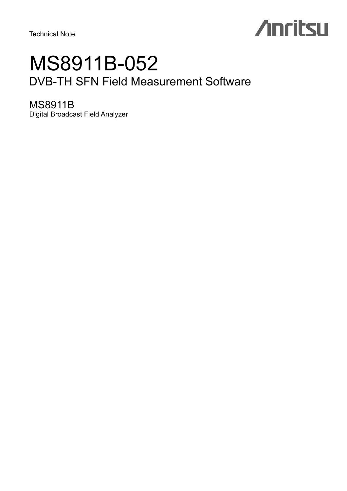# **Anritsu**

### MS8911B-052 DVB-TH SFN Field Measurement Software

### MS8911B

Digital Broadcast Field Analyzer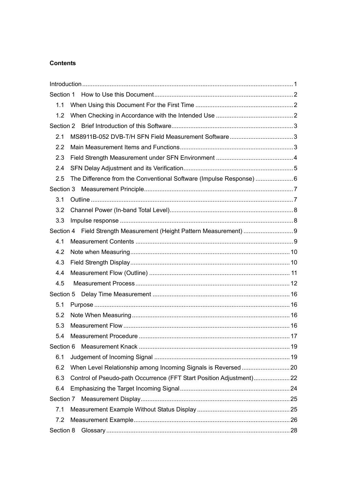#### **Contents**

| 1.1       |                                                                      |  |
|-----------|----------------------------------------------------------------------|--|
| 1.2       |                                                                      |  |
|           |                                                                      |  |
| 2.1       |                                                                      |  |
| 2.2       |                                                                      |  |
| 2.3       |                                                                      |  |
| 2.4       |                                                                      |  |
| 2.5       |                                                                      |  |
|           |                                                                      |  |
| 3.1       |                                                                      |  |
| 3.2       |                                                                      |  |
| 3.3       |                                                                      |  |
|           | Section 4 Field Strength Measurement (Height Pattern Measurement)  9 |  |
| 4.1       |                                                                      |  |
| 4.2       |                                                                      |  |
| 4.3       |                                                                      |  |
| 4.4       |                                                                      |  |
| 4.5       |                                                                      |  |
|           |                                                                      |  |
| 5.1       |                                                                      |  |
| 5.2       |                                                                      |  |
| 5.3       |                                                                      |  |
| 5.4       |                                                                      |  |
| Section 6 |                                                                      |  |
| 6.1       |                                                                      |  |
| 6.2       |                                                                      |  |
| 6.3       | Control of Pseudo-path Occurrence (FFT Start Position Adjustment)22  |  |
| 6.4       |                                                                      |  |
| Section 7 |                                                                      |  |
| 7.1       |                                                                      |  |
| 7.2       |                                                                      |  |
| Section 8 |                                                                      |  |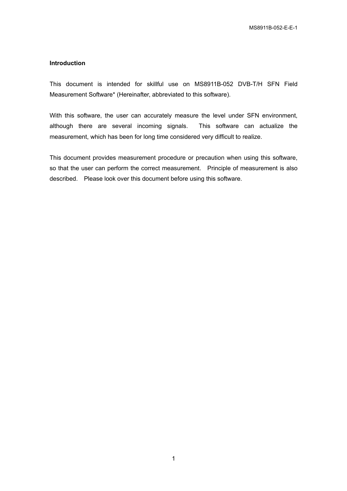#### **Introduction**

This document is intended for skillful use on MS8911B-052 DVB-T/H SFN Field Measurement Software\* (Hereinafter, abbreviated to this software).

With this software, the user can accurately measure the level under SFN environment, although there are several incoming signals. This software can actualize the measurement, which has been for long time considered very difficult to realize.

This document provides measurement procedure or precaution when using this software, so that the user can perform the correct measurement. Principle of measurement is also described. Please look over this document before using this software.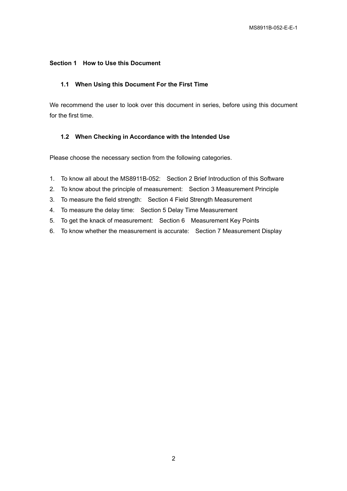#### **Section 1 How to Use this Document**

#### **1.1 When Using this Document For the First Time**

We recommend the user to look over this document in series, before using this document for the first time.

#### **1.2 When Checking in Accordance with the Intended Use**

Please choose the necessary section from the following categories.

- 1. To know all about the MS8911B-052: Section 2 Brief Introduction of this Software
- 2. To know about the principle of measurement: Section 3 Measurement Principle
- 3. To measure the field strength: Section 4 Field Strength Measurement
- 4. To measure the delay time: Section 5 Delay Time Measurement
- 5. To get the knack of measurement: Section 6 Measurement Key Points
- 6. To know whether the measurement is accurate: Section 7 Measurement Display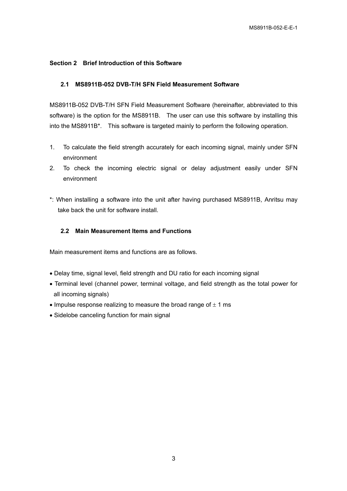#### **Section 2 Brief Introduction of this Software**

#### **2.1 MS8911B-052 DVB-T/H SFN Field Measurement Software**

MS8911B-052 DVB-T/H SFN Field Measurement Software (hereinafter, abbreviated to this software) is the option for the MS8911B. The user can use this software by installing this into the MS8911B\*. This software is targeted mainly to perform the following operation.

- 1. To calculate the field strength accurately for each incoming signal, mainly under SFN environment
- 2. To check the incoming electric signal or delay adjustment easily under SFN environment
- \*: When installing a software into the unit after having purchased MS8911B, Anritsu may take back the unit for software install.

#### **2.2 Main Measurement Items and Functions**

Main measurement items and functions are as follows.

- Delay time, signal level, field strength and DU ratio for each incoming signal
- Terminal level (channel power, terminal voltage, and field strength as the total power for all incoming signals)
- Impulse response realizing to measure the broad range of  $\pm$  1 ms
- Sidelobe canceling function for main signal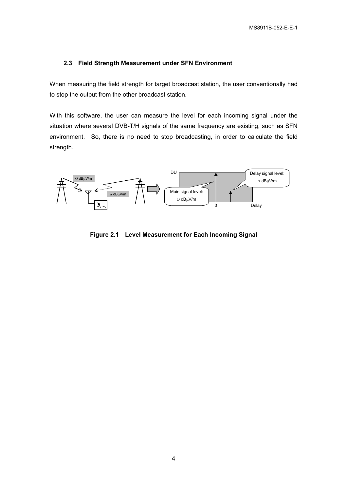#### **2.3 Field Strength Measurement under SFN Environment**

When measuring the field strength for target broadcast station, the user conventionally had to stop the output from the other broadcast station.

With this software, the user can measure the level for each incoming signal under the situation where several DVB-T/H signals of the same frequency are existing, such as SFN environment. So, there is no need to stop broadcasting, in order to calculate the field strength.



**Figure 2.1 Level Measurement for Each Incoming Signal**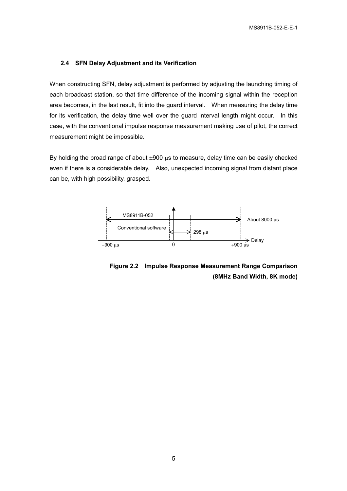#### **2.4 SFN Delay Adjustment and its Verification**

When constructing SFN, delay adjustment is performed by adjusting the launching timing of each broadcast station, so that time difference of the incoming signal within the reception area becomes, in the last result, fit into the guard interval. When measuring the delay time for its verification, the delay time well over the guard interval length might occur. In this case, with the conventional impulse response measurement making use of pilot, the correct measurement might be impossible.

By holding the broad range of about  $\pm 900 \mu s$  to measure, delay time can be easily checked even if there is a considerable delay. Also, unexpected incoming signal from distant place can be, with high possibility, grasped.



**Figure 2.2 Impulse Response Measurement Range Comparison (8MHz Band Width, 8K mode)**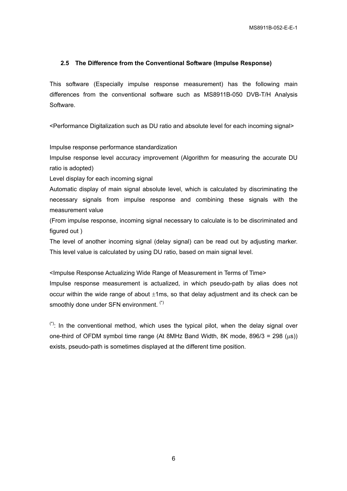#### **2.5 The Difference from the Conventional Software (Impulse Response)**

This software (Especially impulse response measurement) has the following main differences from the conventional software such as MS8911B-050 DVB-T/H Analysis Software.

<Performance Digitalization such as DU ratio and absolute level for each incoming signal>

Impulse response performance standardization

Impulse response level accuracy improvement (Algorithm for measuring the accurate DU ratio is adopted)

Level display for each incoming signal

Automatic display of main signal absolute level, which is calculated by discriminating the necessary signals from impulse response and combining these signals with the measurement value

(From impulse response, incoming signal necessary to calculate is to be discriminated and figured out )

The level of another incoming signal (delay signal) can be read out by adjusting marker. This level value is calculated by using DU ratio, based on main signal level.

<Impulse Response Actualizing Wide Range of Measurement in Terms of Time> Impulse response measurement is actualized, in which pseudo-path by alias does not occur within the wide range of about  $\pm 1$ ms, so that delay adjustment and its check can be smoothly done under SFN environment. (\*)

 $(*)$ : In the conventional method, which uses the typical pilot, when the delay signal over one-third of OFDM symbol time range (At 8MHz Band Width, 8K mode,  $896/3 = 298$  (us)) exists, pseudo-path is sometimes displayed at the different time position.

6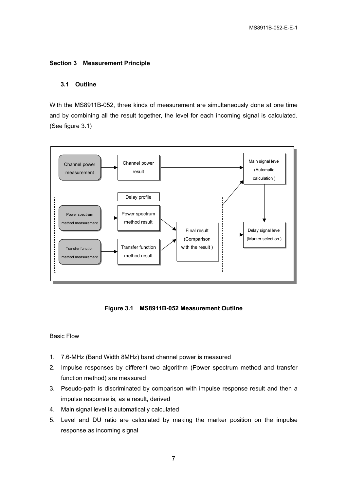#### **Section 3 Measurement Principle**

#### **3.1 Outline**

With the MS8911B-052, three kinds of measurement are simultaneously done at one time and by combining all the result together, the level for each incoming signal is calculated. (See figure 3.1)



**Figure 3.1 MS8911B-052 Measurement Outline** 

#### Basic Flow

- 1. 7.6-MHz (Band Width 8MHz) band channel power is measured
- 2. Impulse responses by different two algorithm (Power spectrum method and transfer function method) are measured
- 3. Pseudo-path is discriminated by comparison with impulse response result and then a impulse response is, as a result, derived
- 4. Main signal level is automatically calculated
- 5. Level and DU ratio are calculated by making the marker position on the impulse response as incoming signal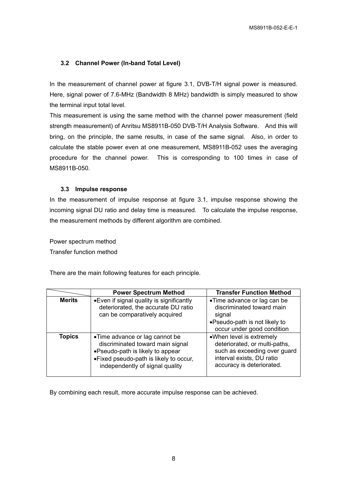#### **3.2 Channel Power (In-band Total Level)**

In the measurement of channel power at figure 3.1, DVB-T/H signal power is measured. Here, signal power of 7.6-MHz (Bandwidth 8 MHz) bandwidth is simply measured to show the terminal input total level.

This measurement is using the same method with the channel power measurement (field strength measurement) of Anritsu MS8911B-050 DVB-T/H Analysis Software. And this will bring, on the principle, the same results, in case of the same signal. Also, in order to calculate the stable power even at one measurement, MS8911B-052 uses the averaging procedure for the channel power. This is corresponding to 100 times in case of MS8911B-050.

#### **3.3 Impulse response**

In the measurement of impulse response at figure 3.1, impulse response showing the incoming signal DU ratio and delay time is measured. To calculate the impulse response, the measurement methods by different algorithm are combined.

Power spectrum method Transfer function method

There are the main following features for each principle.

|               | <b>Power Spectrum Method</b>                                                                                                                                                         | <b>Transfer Function Method</b>                                                                                                                     |
|---------------|--------------------------------------------------------------------------------------------------------------------------------------------------------------------------------------|-----------------------------------------------------------------------------------------------------------------------------------------------------|
| <b>Merits</b> | • Even if signal quality is significantly<br>deteriorated, the accurate DU ratio<br>can be comparatively acquired                                                                    | •Time advance or lag can be<br>discriminated toward main<br>signal<br>•Pseudo-path is not likely to<br>occur under good condition                   |
| <b>Topics</b> | •Time advance or lag cannot be<br>discriminated toward main signal<br>•Pseudo-path is likely to appear<br>• Fixed pseudo-path is likely to occur,<br>independently of signal quality | •When level is extremely<br>deteriorated, or multi-paths,<br>such as exceeding over guard<br>interval exists, DU ratio<br>accuracy is deteriorated. |

By combining each result, more accurate impulse response can be achieved.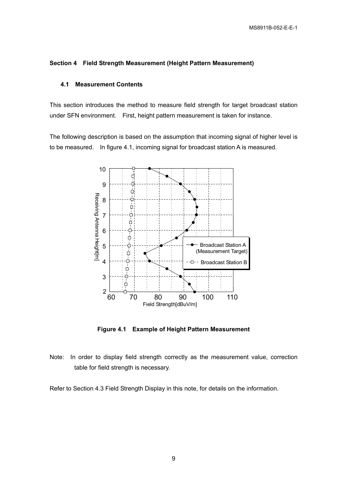#### **Section 4 Field Strength Measurement (Height Pattern Measurement)**

#### **4.1 Measurement Contents**

This section introduces the method to measure field strength for target broadcast station under SFN environment. First, height pattern measurement is taken for instance.

The following description is based on the assumption that incoming signal of higher level is to be measured. In figure 4.1, incoming signal for broadcast station A is measured.



**Figure 4.1 Example of Height Pattern Measurement** 

Note: In order to display field strength correctly as the measurement value, correction table for field strength is necessary.

Refer to Section 4.3 Field Strength Display in this note, for details on the information.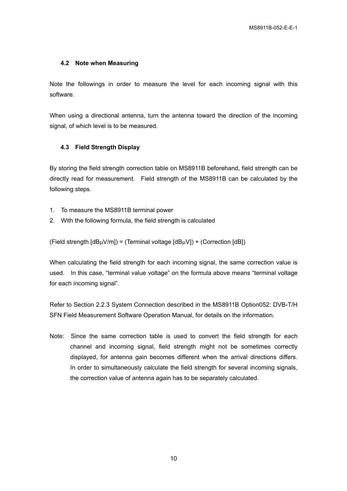#### **4.2 Note when Measuring**

Note the followings in order to measure the level for each incoming signal with this software.

When using a directional antenna, turn the antenna toward the direction of the incoming signal, of which level is to be measured.

#### **4.3 Field Strength Display**

By storing the field strength correction table on MS8911B beforehand, field strength can be directly read for measurement. Field strength of the MS8911B can be calculated by the following steps.

- 1. To measure the MS8911B terminal power
- 2. With the following formula, the field strength is calculated

(Field strength  $[dB\mu V/m]$ ) = (Terminal voltage  $[dB\mu V]$ ) + (Correction  $[dB]$ )

When calculating the field strength for each incoming signal, the same correction value is used. In this case, "terminal value voltage" on the formula above means "terminal voltage for each incoming signal".

Refer to Section 2.2.3 System Connection described in the MS8911B Option052: DVB-T/H SFN Field Measurement Software Operation Manual, for details on the information.

Note: Since the same correction table is used to convert the field strength for each channel and incoming signal, field strength might not be sometimes correctly displayed, for antenna gain becomes different when the arrival directions differs. In order to simultaneously calculate the field strength for several incoming signals, the correction value of antenna again has to be separately calculated.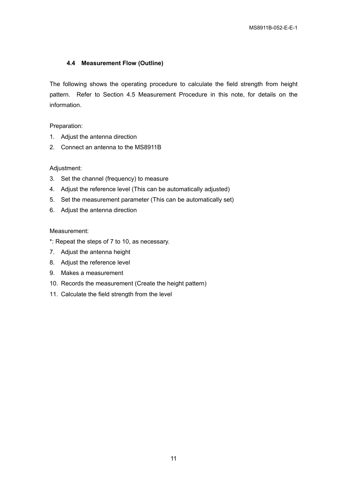#### **4.4 Measurement Flow (Outline)**

The following shows the operating procedure to calculate the field strength from height pattern. Refer to Section 4.5 Measurement Procedure in this note, for details on the information.

Preparation:

- 1. Adjust the antenna direction
- 2. Connect an antenna to the MS8911B

#### Adjustment:

- 3. Set the channel (frequency) to measure
- 4. Adjust the reference level (This can be automatically adjusted)
- 5. Set the measurement parameter (This can be automatically set)
- 6. Adjust the antenna direction

#### Measurement:

- \*: Repeat the steps of 7 to 10, as necessary.
- 7. Adjust the antenna height
- 8. Adjust the reference level
- 9. Makes a measurement
- 10. Records the measurement (Create the height pattern)
- 11. Calculate the field strength from the level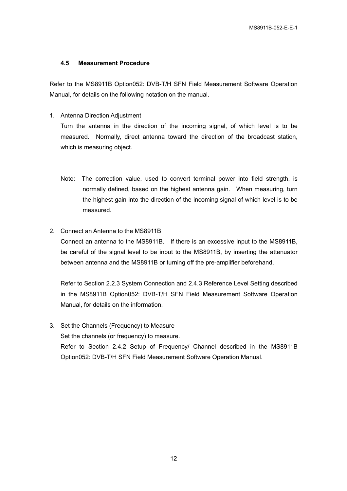#### **4.5 Measurement Procedure**

Refer to the MS8911B Option052: DVB-T/H SFN Field Measurement Software Operation Manual, for details on the following notation on the manual.

1. Antenna Direction Adjustment

Turn the antenna in the direction of the incoming signal, of which level is to be measured. Normally, direct antenna toward the direction of the broadcast station, which is measuring object.

- Note: The correction value, used to convert terminal power into field strength, is normally defined, based on the highest antenna gain. When measuring, turn the highest gain into the direction of the incoming signal of which level is to be measured.
- 2. Connect an Antenna to the MS8911B

Connect an antenna to the MS8911B. If there is an excessive input to the MS8911B, be careful of the signal level to be input to the MS8911B, by inserting the attenuator between antenna and the MS8911B or turning off the pre-amplifier beforehand.

Refer to Section 2.2.3 System Connection and 2.4.3 Reference Level Setting described in the MS8911B Option052: DVB-T/H SFN Field Measurement Software Operation Manual, for details on the information.

3. Set the Channels (Frequency) to Measure Set the channels (or frequency) to measure. Refer to Section 2.4.2 Setup of Frequency/ Channel described in the MS8911B Option052: DVB-T/H SFN Field Measurement Software Operation Manual.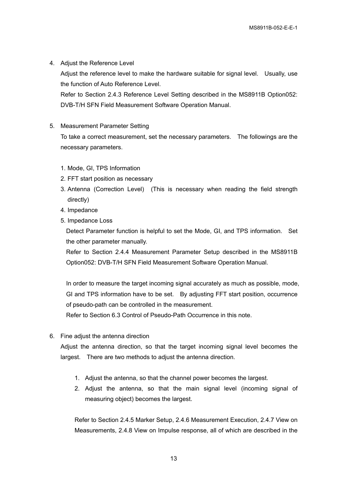4. Adjust the Reference Level

Adjust the reference level to make the hardware suitable for signal level. Usually, use the function of Auto Reference Level.

Refer to Section 2.4.3 Reference Level Setting described in the MS8911B Option052: DVB-T/H SFN Field Measurement Software Operation Manual.

5. Measurement Parameter Setting

To take a correct measurement, set the necessary parameters. The followings are the necessary parameters.

- 1. Mode, GI, TPS Information
- 2. FFT start position as necessary
- 3. Antenna (Correction Level) (This is necessary when reading the field strength directly)
- 4. Impedance
- 5. Impedance Loss

Detect Parameter function is helpful to set the Mode, GI, and TPS information. Set the other parameter manually.

Refer to Section 2.4.4 Measurement Parameter Setup described in the MS8911B Option052: DVB-T/H SFN Field Measurement Software Operation Manual.

In order to measure the target incoming signal accurately as much as possible, mode, GI and TPS information have to be set. By adjusting FFT start position, occurrence of pseudo-path can be controlled in the measurement.

Refer to Section 6.3 Control of Pseudo-Path Occurrence in this note.

6. Fine adjust the antenna direction

Adjust the antenna direction, so that the target incoming signal level becomes the largest. There are two methods to adjust the antenna direction.

- 1. Adjust the antenna, so that the channel power becomes the largest.
- 2. Adjust the antenna, so that the main signal level (incoming signal of measuring object) becomes the largest.

Refer to Section 2.4.5 Marker Setup, 2.4.6 Measurement Execution, 2.4.7 View on Measurements, 2.4.8 View on Impulse response, all of which are described in the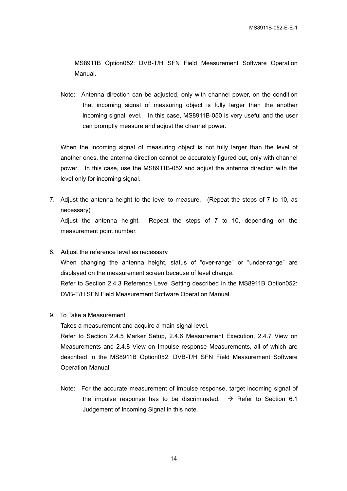MS8911B Option052: DVB-T/H SFN Field Measurement Software Operation Manual.

Note: Antenna direction can be adjusted, only with channel power, on the condition that incoming signal of measuring object is fully larger than the another incoming signal level. In this case, MS8911B-050 is very useful and the user can promptly measure and adjust the channel power.

When the incoming signal of measuring object is not fully larger than the level of another ones, the antenna direction cannot be accurately figured out, only with channel power. In this case, use the MS8911B-052 and adjust the antenna direction with the level only for incoming signal.

7. Adjust the antenna height to the level to measure. (Repeat the steps of 7 to 10, as necessary)

Adjust the antenna height. Repeat the steps of 7 to 10, depending on the measurement point number.

- 8. Adjust the reference level as necessary When changing the antenna height, status of "over-range" or "under-range" are displayed on the measurement screen because of level change. Refer to Section 2.4.3 Reference Level Setting described in the MS8911B Option052: DVB-T/H SFN Field Measurement Software Operation Manual.
- 9. To Take a Measurement

Takes a measurement and acquire a main-signal level.

Refer to Section 2.4.5 Marker Setup, 2.4.6 Measurement Execution, 2.4.7 View on Measurements and 2.4.8 View on Impulse response Measurements, all of which are described in the MS8911B Option052: DVB-T/H SFN Field Measurement Software Operation Manual.

Note: For the accurate measurement of impulse response, target incoming signal of the impulse response has to be discriminated.  $\rightarrow$  Refer to Section 6.1 Judgement of Incoming Signal in this note.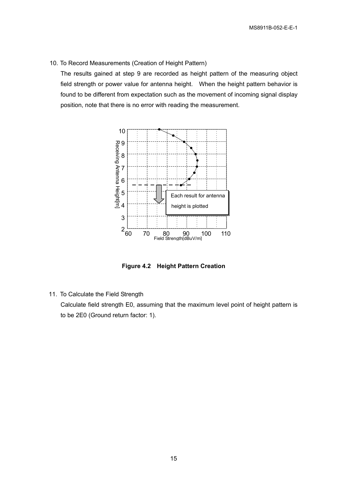10. To Record Measurements (Creation of Height Pattern)

The results gained at step 9 are recorded as height pattern of the measuring object field strength or power value for antenna height. When the height pattern behavior is found to be different from expectation such as the movement of incoming signal display position, note that there is no error with reading the measurement.



**Figure 4.2 Height Pattern Creation** 

11. To Calculate the Field Strength

Calculate field strength E0, assuming that the maximum level point of height pattern is to be 2E0 (Ground return factor: 1).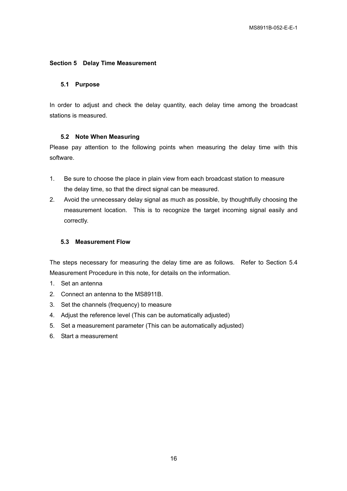#### **Section 5 Delay Time Measurement**

#### **5.1 Purpose**

In order to adjust and check the delay quantity, each delay time among the broadcast stations is measured.

#### **5.2 Note When Measuring**

Please pay attention to the following points when measuring the delay time with this software.

- 1. Be sure to choose the place in plain view from each broadcast station to measure the delay time, so that the direct signal can be measured.
- 2. Avoid the unnecessary delay signal as much as possible, by thoughtfully choosing the measurement location. This is to recognize the target incoming signal easily and correctly.

#### **5.3 Measurement Flow**

The steps necessary for measuring the delay time are as follows. Refer to Section 5.4 Measurement Procedure in this note, for details on the information.

- 1. Set an antenna
- 2. Connect an antenna to the MS8911B.
- 3. Set the channels (frequency) to measure
- 4. Adjust the reference level (This can be automatically adjusted)
- 5. Set a measurement parameter (This can be automatically adjusted)
- 6. Start a measurement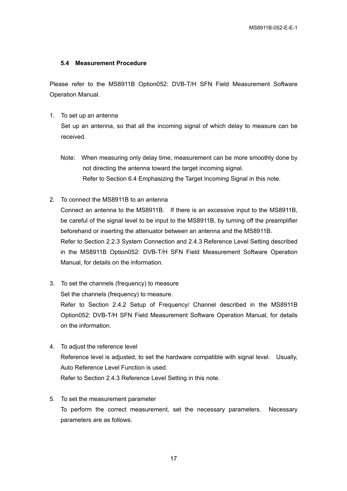#### **5.4 Measurement Procedure**

Please refer to the MS8911B Option052: DVB-T/H SFN Field Measurement Software Operation Manual.

1. To set up an antenna

Set up an antenna, so that all the incoming signal of which delay to measure can be received.

- Note: When measuring only delay time, measurement can be more smoothly done by not directing the antenna toward the target incoming signal. Refer to Section 6.4 Emphasizing the Target Incoming Signal in this note.
- 2. To connect the MS8911B to an antenna

Connect an antenna to the MS8911B. If there is an excessive input to the MS8911B, be careful of the signal level to be input to the MS8911B, by turning off the preamplifier beforehand or inserting the attenuator between an antenna and the MS8911B. Refer to Section 2.2.3 System Connection and 2.4.3 Reference Level Setting described in the MS8911B Option052: DVB-T/H SFN Field Measurement Software Operation Manual, for details on the information.

3. To set the channels (frequency) to measure Set the channels (frequency) to measure.

Refer to Section 2.4.2 Setup of Frequency/ Channel described in the MS8911B Option052: DVB-T/H SFN Field Measurement Software Operation Manual, for details on the information.

- 4. To adjust the reference level Reference level is adjusted, to set the hardware compatible with signal level. Usually, Auto Reference Level Function is used. Refer to Section 2.4.3 Reference Level Setting in this note.
- 5. To set the measurement parameter To perform the correct measurement, set the necessary parameters. Necessary parameters are as follows.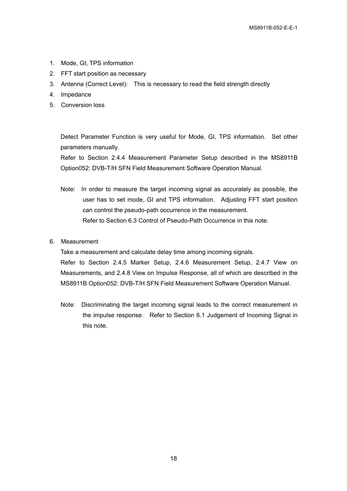- 1. Mode, GI, TPS information
- 2. FFT start position as necessary
- 3. Antenna (Correct Level): This is necessary to read the field strength directly
- 4. Impedance
- 5. Conversion loss

Detect Parameter Function is very useful for Mode, GI, TPS information. Set other parameters manually.

Refer to Section 2.4.4 Measurement Parameter Setup described in the MS8911B Option052: DVB-T/H SFN Field Measurement Software Operation Manual.

- Note: In order to measure the target incoming signal as accurately as possible, the user has to set mode, GI and TPS information. Adjusting FFT start position can control the pseudo-path occurrence in the measurement. Refer to Section 6.3 Control of Pseudo-Path Occurrence in this note.
- 6. Measurement

Take a measurement and calculate delay time among incoming signals.

Refer to Section 2.4.5 Marker Setup, 2.4.6 Measurement Setup, 2.4.7 View on Measurements, and 2.4.8 View on Impulse Response, all of which are described in the MS8911B Option052: DVB-T/H SFN Field Measurement Software Operation Manual.

Note: Discriminating the target incoming signal leads to the correct measurement in the impulse response. Refer to Section 6.1 Judgement of Incoming Signal in this note.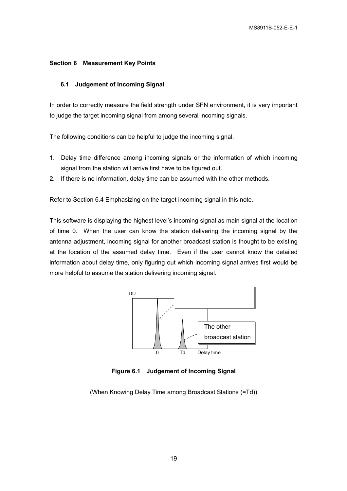#### **Section 6 Measurement Key Points**

#### **6.1 Judgement of Incoming Signal**

In order to correctly measure the field strength under SFN environment, it is very important to judge the target incoming signal from among several incoming signals.

The following conditions can be helpful to judge the incoming signal.

- 1. Delay time difference among incoming signals or the information of which incoming signal from the station will arrive first have to be figured out.
- 2. If there is no information, delay time can be assumed with the other methods.

Refer to Section 6.4 Emphasizing on the target incoming signal in this note.

This software is displaying the highest level's incoming signal as main signal at the location of time 0. When the user can know the station delivering the incoming signal by the antenna adjustment, incoming signal for another broadcast station is thought to be existing at the location of the assumed delay time. Even if the user cannot know the detailed information about delay time, only figuring out which incoming signal arrives first would be more helpful to assume the station delivering incoming signal.



**Figure 6.1 Judgement of Incoming Signal** 

(When Knowing Delay Time among Broadcast Stations (=Td))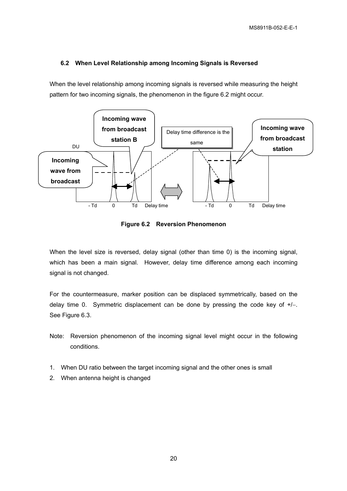#### **6.2 When Level Relationship among Incoming Signals is Reversed**

When the level relationship among incoming signals is reversed while measuring the height pattern for two incoming signals, the phenomenon in the figure 6.2 might occur.



**Figure 6.2 Reversion Phenomenon** 

When the level size is reversed, delay signal (other than time 0) is the incoming signal, which has been a main signal. However, delay time difference among each incoming signal is not changed.

For the countermeasure, marker position can be displaced symmetrically, based on the delay time 0. Symmetric displacement can be done by pressing the code key of +/−. See Figure 6.3.

- Note: Reversion phenomenon of the incoming signal level might occur in the following conditions.
- 1. When DU ratio between the target incoming signal and the other ones is small
- 2. When antenna height is changed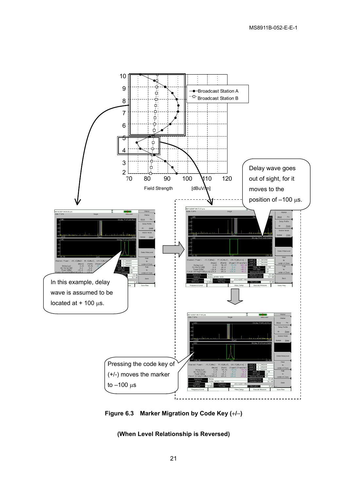

**Figure 6.3 Marker Migration by Code Key (**+**/**−**)** 

**(When Level Relationship is Reversed)**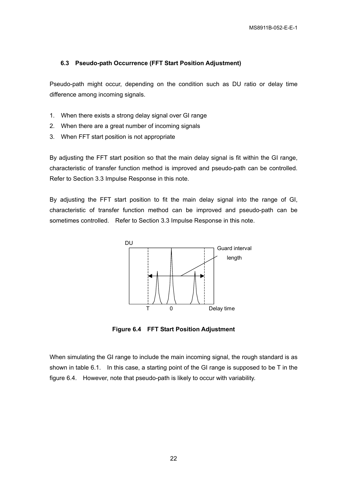#### **6.3 Pseudo-path Occurrence (FFT Start Position Adjustment)**

Pseudo-path might occur, depending on the condition such as DU ratio or delay time difference among incoming signals.

- 1. When there exists a strong delay signal over GI range
- 2. When there are a great number of incoming signals
- 3. When FFT start position is not appropriate

By adjusting the FFT start position so that the main delay signal is fit within the GI range, characteristic of transfer function method is improved and pseudo-path can be controlled. Refer to Section 3.3 Impulse Response in this note.

By adjusting the FFT start position to fit the main delay signal into the range of GI, characteristic of transfer function method can be improved and pseudo-path can be sometimes controlled. Refer to Section 3.3 Impulse Response in this note.



**Figure 6.4 FFT Start Position Adjustment** 

When simulating the GI range to include the main incoming signal, the rough standard is as shown in table 6.1. In this case, a starting point of the GI range is supposed to be T in the figure 6.4. However, note that pseudo-path is likely to occur with variability.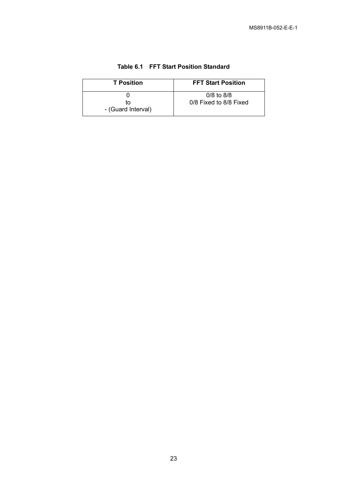| <b>T</b> Position  | <b>FFT Start Position</b> |
|--------------------|---------------------------|
| tΩ                 | $0/8$ to $8/8$            |
| - (Guard Interval) | 0/8 Fixed to 8/8 Fixed    |

| Table 6.1 FFT Start Position Standard |
|---------------------------------------|
|---------------------------------------|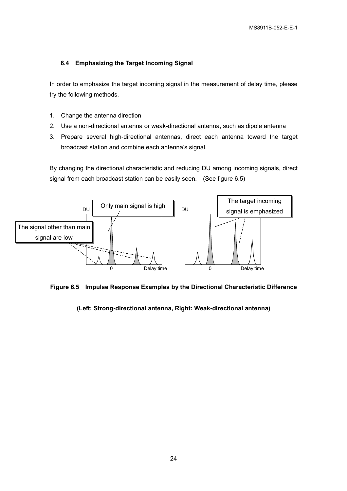#### **6.4 Emphasizing the Target Incoming Signal**

In order to emphasize the target incoming signal in the measurement of delay time, please try the following methods.

- 1. Change the antenna direction
- 2. Use a non-directional antenna or weak-directional antenna, such as dipole antenna
- 3. Prepare several high-directional antennas, direct each antenna toward the target broadcast station and combine each antenna's signal.

By changing the directional characteristic and reducing DU among incoming signals, direct signal from each broadcast station can be easily seen. (See figure 6.5)



**Figure 6.5 Impulse Response Examples by the Directional Characteristic Difference** 

#### **(Left: Strong-directional antenna, Right: Weak-directional antenna)**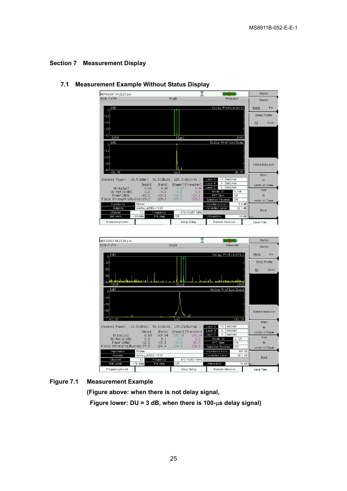#### **Section 7 Measurement Display**



#### **7.1 Measurement Example Without Status Display**



#### **Figure 7.1 Measurement Example**

**(Figure above: when there is not delay signal,** 

 **Figure lower: DU = 3 dB, when there is 100-**µ**s delay signal)**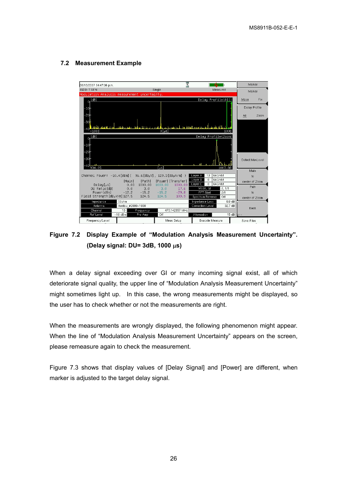#### **7.2 Measurement Example**



**Figure 7.2 Display Example of "Modulation Analysis Measurement Uncertainty". (Delay signal: DU= 3dB, 1000** µ**s)** 

When a delay signal exceeding over GI or many incoming signal exist, all of which deteriorate signal quality, the upper line of "Modulation Analysis Measurement Uncertainty" might sometimes light up. In this case, the wrong measurements might be displayed, so the user has to check whether or not the measurements are right.

When the measurements are wrongly displayed, the following phenomenon might appear. When the line of "Modulation Analysis Measurement Uncertainty" appears on the screen, please remeasure again to check the measurement.

Figure 7.3 shows that display values of [Delay Signal] and [Power] are different, when marker is adjusted to the target delay signal.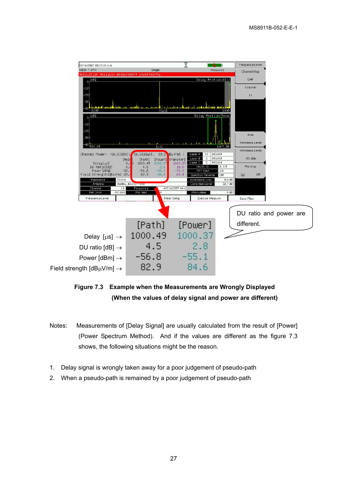

**Figure 7.3 Example when the Measurements are Wrongly Displayed (When the values of delay signal and power are different)** 

- Notes: Measurements of [Delay Signal] are usually calculated from the result of [Power] (Power Spectrum Method). And if the values are different as the figure 7.3 shows, the following situations might be the reason.
- 1. Delay signal is wrongly taken away for a poor judgement of pseudo-path
- 2. When a pseudo-path is remained by a poor judgement of pseudo-path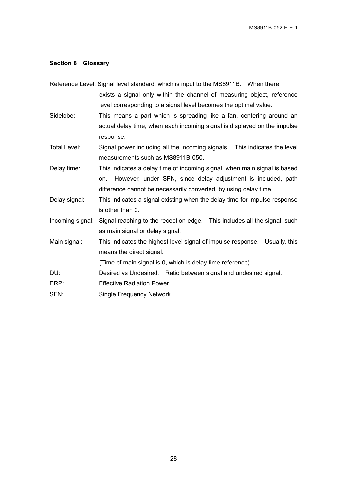#### **Section 8 Glossary**

|                  | Reference Level: Signal level standard, which is input to the MS8911B. When there |
|------------------|-----------------------------------------------------------------------------------|
|                  | exists a signal only within the channel of measuring object, reference            |
|                  | level corresponding to a signal level becomes the optimal value.                  |
| Sidelobe:        | This means a part which is spreading like a fan, centering around an              |
|                  | actual delay time, when each incoming signal is displayed on the impulse          |
|                  | response.                                                                         |
| Total Level:     | Signal power including all the incoming signals. This indicates the level         |
|                  | measurements such as MS8911B-050.                                                 |
| Delay time:      | This indicates a delay time of incoming signal, when main signal is based         |
|                  | However, under SFN, since delay adjustment is included, path<br>on.               |
|                  | difference cannot be necessarily converted, by using delay time.                  |
| Delay signal:    | This indicates a signal existing when the delay time for impulse response         |
|                  | is other than 0.                                                                  |
| Incoming signal: | Signal reaching to the reception edge. This includes all the signal, such         |
|                  | as main signal or delay signal.                                                   |
| Main signal:     | This indicates the highest level signal of impulse response. Usually, this        |
|                  | means the direct signal.                                                          |
|                  | (Time of main signal is 0, which is delay time reference)                         |
| DU:              | Desired vs Undesired. Ratio between signal and undesired signal.                  |
| ERP:             | <b>Effective Radiation Power</b>                                                  |
| SFN:             | <b>Single Frequency Network</b>                                                   |
|                  |                                                                                   |